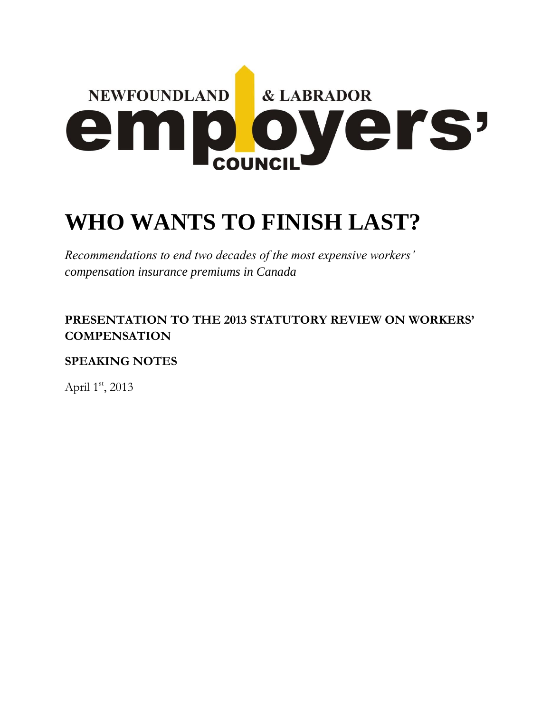# **NEWFOUNDLAND & LABRADOR** ers<sup>,</sup> en OUN

# **WHO WANTS TO FINISH LAST?**

*Recommendations to end two decades of the most expensive workers' compensation insurance premiums in Canada*

# **PRESENTATION TO THE 2013 STATUTORY REVIEW ON WORKERS' COMPENSATION**

## **SPEAKING NOTES**

April 1st, 2013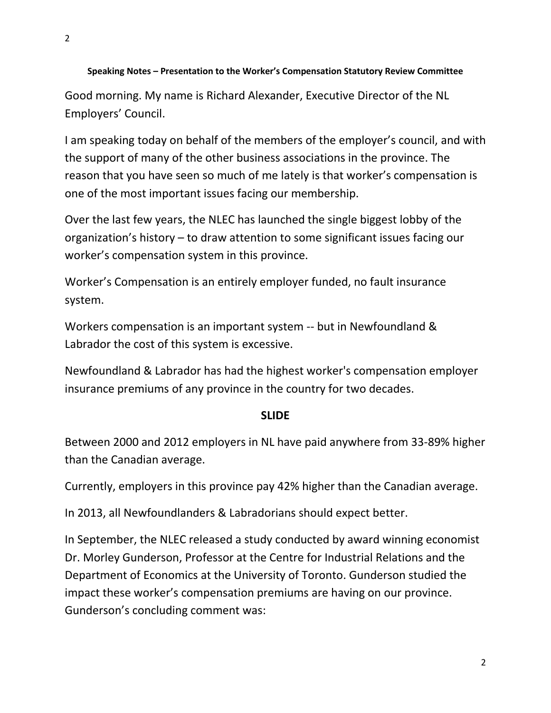Good morning. My name is Richard Alexander, Executive Director of the NL Employers' Council.

I am speaking today on behalf of the members of the employer's council, and with the support of many of the other business associations in the province. The reason that you have seen so much of me lately is that worker's compensation is one of the most important issues facing our membership.

Over the last few years, the NLEC has launched the single biggest lobby of the organization's history – to draw attention to some significant issues facing our worker's compensation system in this province.

Worker's Compensation is an entirely employer funded, no fault insurance system.

Workers compensation is an important system -- but in Newfoundland & Labrador the cost of this system is excessive.

Newfoundland & Labrador has had the highest worker's compensation employer insurance premiums of any province in the country for two decades.

#### **SLIDE**

Between 2000 and 2012 employers in NL have paid anywhere from 33-89% higher than the Canadian average.

Currently, employers in this province pay 42% higher than the Canadian average.

In 2013, all Newfoundlanders & Labradorians should expect better.

In September, the NLEC released a study conducted by award winning economist Dr. Morley Gunderson, Professor at the Centre for Industrial Relations and the Department of Economics at the University of Toronto. Gunderson studied the impact these worker's compensation premiums are having on our province. Gunderson's concluding comment was: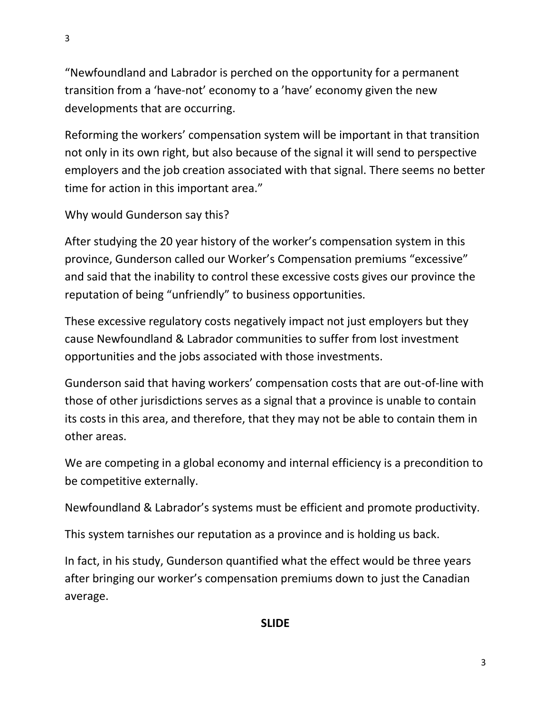"Newfoundland and Labrador is perched on the opportunity for a permanent transition from a 'have-not' economy to a 'have' economy given the new developments that are occurring.

Reforming the workers' compensation system will be important in that transition not only in its own right, but also because of the signal it will send to perspective employers and the job creation associated with that signal. There seems no better time for action in this important area."

Why would Gunderson say this?

After studying the 20 year history of the worker's compensation system in this province, Gunderson called our Worker's Compensation premiums "excessive" and said that the inability to control these excessive costs gives our province the reputation of being "unfriendly" to business opportunities.

These excessive regulatory costs negatively impact not just employers but they cause Newfoundland & Labrador communities to suffer from lost investment opportunities and the jobs associated with those investments.

Gunderson said that having workers' compensation costs that are out-of-line with those of other jurisdictions serves as a signal that a province is unable to contain its costs in this area, and therefore, that they may not be able to contain them in other areas.

We are competing in a global economy and internal efficiency is a precondition to be competitive externally.

Newfoundland & Labrador's systems must be efficient and promote productivity.

This system tarnishes our reputation as a province and is holding us back.

In fact, in his study, Gunderson quantified what the effect would be three years after bringing our worker's compensation premiums down to just the Canadian average.

**SLIDE**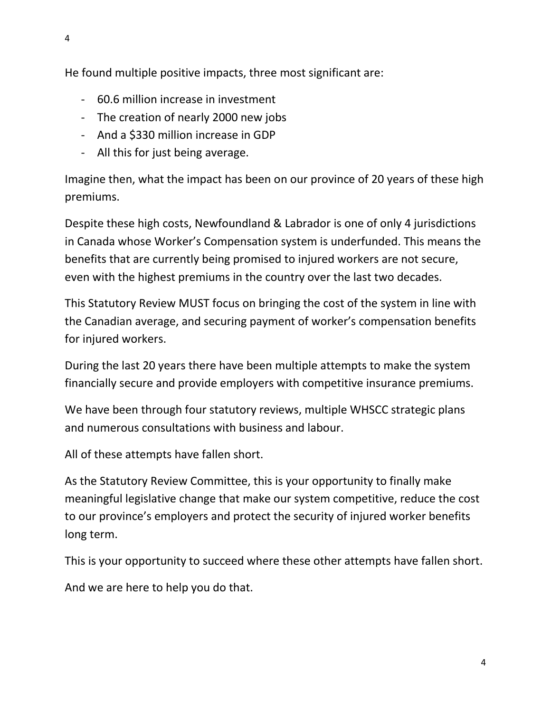He found multiple positive impacts, three most significant are:

- 60.6 million increase in investment
- The creation of nearly 2000 new jobs
- And a \$330 million increase in GDP
- All this for just being average.

Imagine then, what the impact has been on our province of 20 years of these high premiums.

Despite these high costs, Newfoundland & Labrador is one of only 4 jurisdictions in Canada whose Worker's Compensation system is underfunded. This means the benefits that are currently being promised to injured workers are not secure, even with the highest premiums in the country over the last two decades.

This Statutory Review MUST focus on bringing the cost of the system in line with the Canadian average, and securing payment of worker's compensation benefits for injured workers.

During the last 20 years there have been multiple attempts to make the system financially secure and provide employers with competitive insurance premiums.

We have been through four statutory reviews, multiple WHSCC strategic plans and numerous consultations with business and labour.

All of these attempts have fallen short.

As the Statutory Review Committee, this is your opportunity to finally make meaningful legislative change that make our system competitive, reduce the cost to our province's employers and protect the security of injured worker benefits long term.

This is your opportunity to succeed where these other attempts have fallen short.

And we are here to help you do that.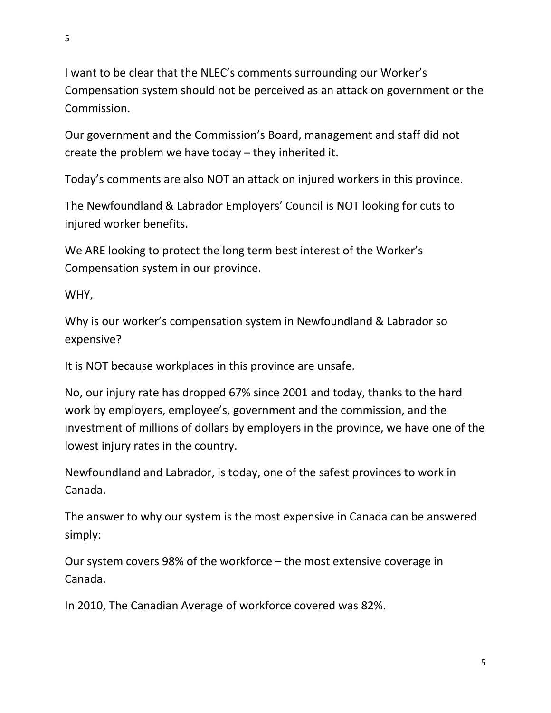I want to be clear that the NLEC's comments surrounding our Worker's Compensation system should not be perceived as an attack on government or the Commission.

Our government and the Commission's Board, management and staff did not create the problem we have today – they inherited it.

Today's comments are also NOT an attack on injured workers in this province.

The Newfoundland & Labrador Employers' Council is NOT looking for cuts to injured worker benefits.

We ARE looking to protect the long term best interest of the Worker's Compensation system in our province.

WHY,

Why is our worker's compensation system in Newfoundland & Labrador so expensive?

It is NOT because workplaces in this province are unsafe.

No, our injury rate has dropped 67% since 2001 and today, thanks to the hard work by employers, employee's, government and the commission, and the investment of millions of dollars by employers in the province, we have one of the lowest injury rates in the country.

Newfoundland and Labrador, is today, one of the safest provinces to work in Canada.

The answer to why our system is the most expensive in Canada can be answered simply:

Our system covers 98% of the workforce – the most extensive coverage in Canada.

In 2010, The Canadian Average of workforce covered was 82%.

5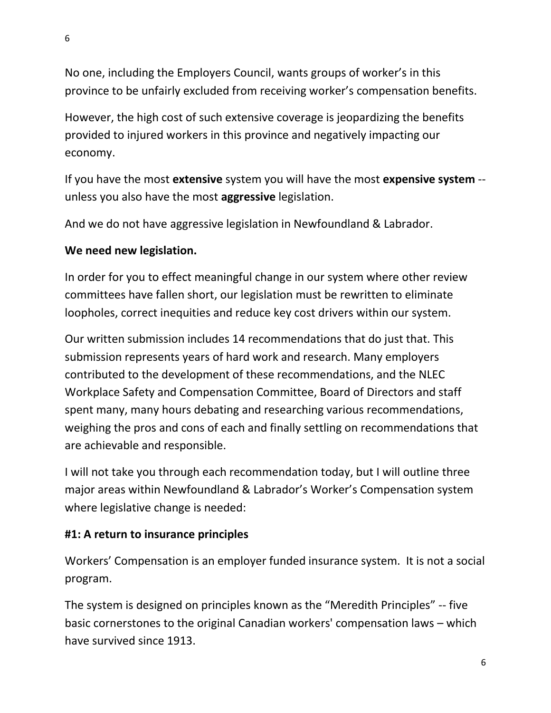No one, including the Employers Council, wants groups of worker's in this province to be unfairly excluded from receiving worker's compensation benefits.

However, the high cost of such extensive coverage is jeopardizing the benefits provided to injured workers in this province and negatively impacting our economy.

If you have the most **extensive** system you will have the most **expensive system** - unless you also have the most **aggressive** legislation.

And we do not have aggressive legislation in Newfoundland & Labrador.

# **We need new legislation.**

In order for you to effect meaningful change in our system where other review committees have fallen short, our legislation must be rewritten to eliminate loopholes, correct inequities and reduce key cost drivers within our system.

Our written submission includes 14 recommendations that do just that. This submission represents years of hard work and research. Many employers contributed to the development of these recommendations, and the NLEC Workplace Safety and Compensation Committee, Board of Directors and staff spent many, many hours debating and researching various recommendations, weighing the pros and cons of each and finally settling on recommendations that are achievable and responsible.

I will not take you through each recommendation today, but I will outline three major areas within Newfoundland & Labrador's Worker's Compensation system where legislative change is needed:

# **#1: A return to insurance principles**

Workers' Compensation is an employer funded insurance system. It is not a social program.

The system is designed on principles known as the "Meredith Principles" -- five basic cornerstones to the original Canadian workers' compensation laws – which have survived since 1913.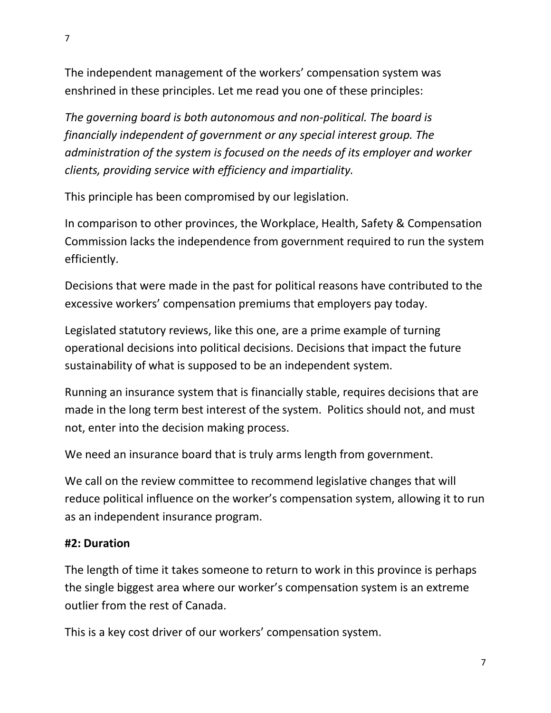The independent management of the workers' compensation system was enshrined in these principles. Let me read you one of these principles:

*The governing board is both autonomous and non-political. The board is financially independent of government or any special interest group. The administration of the system is focused on the needs of its employer and worker clients, providing service with efficiency and impartiality.*

This principle has been compromised by our legislation.

In comparison to other provinces, the Workplace, Health, Safety & Compensation Commission lacks the independence from government required to run the system efficiently.

Decisions that were made in the past for political reasons have contributed to the excessive workers' compensation premiums that employers pay today.

Legislated statutory reviews, like this one, are a prime example of turning operational decisions into political decisions. Decisions that impact the future sustainability of what is supposed to be an independent system.

Running an insurance system that is financially stable, requires decisions that are made in the long term best interest of the system. Politics should not, and must not, enter into the decision making process.

We need an insurance board that is truly arms length from government.

We call on the review committee to recommend legislative changes that will reduce political influence on the worker's compensation system, allowing it to run as an independent insurance program.

#### **#2: Duration**

The length of time it takes someone to return to work in this province is perhaps the single biggest area where our worker's compensation system is an extreme outlier from the rest of Canada.

This is a key cost driver of our workers' compensation system.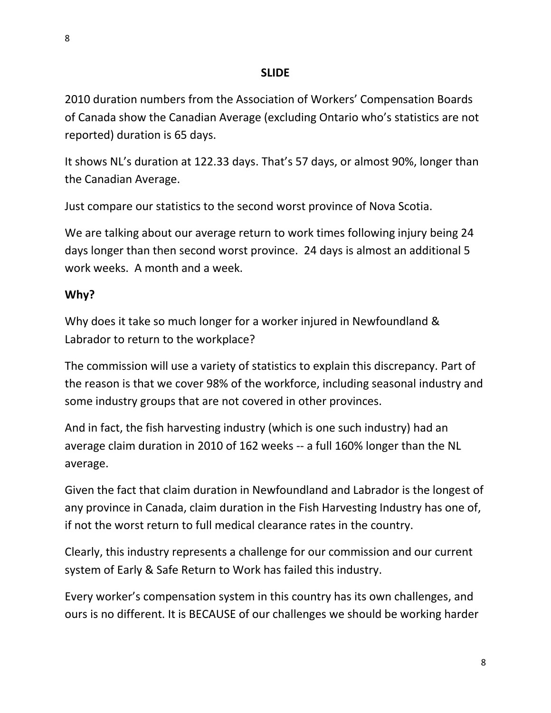#### **SLIDE**

2010 duration numbers from the Association of Workers' Compensation Boards of Canada show the Canadian Average (excluding Ontario who's statistics are not reported) duration is 65 days.

It shows NL's duration at 122.33 days. That's 57 days, or almost 90%, longer than the Canadian Average.

Just compare our statistics to the second worst province of Nova Scotia.

We are talking about our average return to work times following injury being 24 days longer than then second worst province. 24 days is almost an additional 5 work weeks. A month and a week.

#### **Why?**

Why does it take so much longer for a worker injured in Newfoundland & Labrador to return to the workplace?

The commission will use a variety of statistics to explain this discrepancy. Part of the reason is that we cover 98% of the workforce, including seasonal industry and some industry groups that are not covered in other provinces.

And in fact, the fish harvesting industry (which is one such industry) had an average claim duration in 2010 of 162 weeks -- a full 160% longer than the NL average.

Given the fact that claim duration in Newfoundland and Labrador is the longest of any province in Canada, claim duration in the Fish Harvesting Industry has one of, if not the worst return to full medical clearance rates in the country.

Clearly, this industry represents a challenge for our commission and our current system of Early & Safe Return to Work has failed this industry.

Every worker's compensation system in this country has its own challenges, and ours is no different. It is BECAUSE of our challenges we should be working harder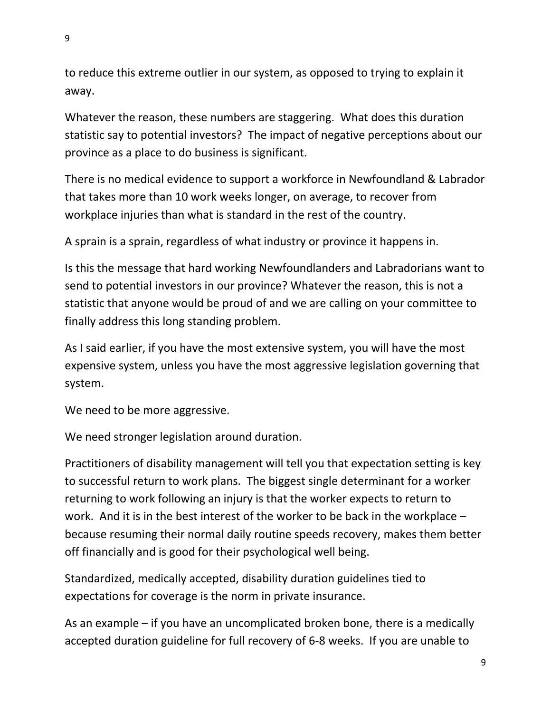to reduce this extreme outlier in our system, as opposed to trying to explain it away.

Whatever the reason, these numbers are staggering. What does this duration statistic say to potential investors? The impact of negative perceptions about our province as a place to do business is significant.

There is no medical evidence to support a workforce in Newfoundland & Labrador that takes more than 10 work weeks longer, on average, to recover from workplace injuries than what is standard in the rest of the country.

A sprain is a sprain, regardless of what industry or province it happens in.

Is this the message that hard working Newfoundlanders and Labradorians want to send to potential investors in our province? Whatever the reason, this is not a statistic that anyone would be proud of and we are calling on your committee to finally address this long standing problem.

As I said earlier, if you have the most extensive system, you will have the most expensive system, unless you have the most aggressive legislation governing that system.

We need to be more aggressive.

We need stronger legislation around duration.

Practitioners of disability management will tell you that expectation setting is key to successful return to work plans. The biggest single determinant for a worker returning to work following an injury is that the worker expects to return to work. And it is in the best interest of the worker to be back in the workplace – because resuming their normal daily routine speeds recovery, makes them better off financially and is good for their psychological well being.

Standardized, medically accepted, disability duration guidelines tied to expectations for coverage is the norm in private insurance.

As an example – if you have an uncomplicated broken bone, there is a medically accepted duration guideline for full recovery of 6-8 weeks. If you are unable to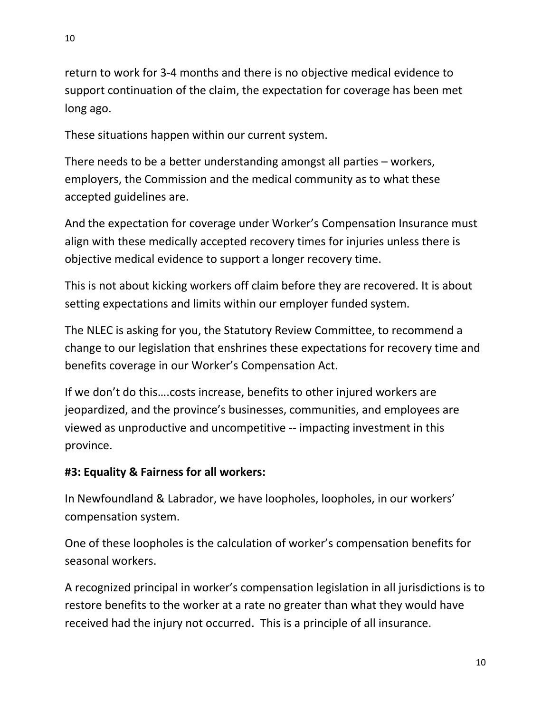return to work for 3-4 months and there is no objective medical evidence to support continuation of the claim, the expectation for coverage has been met long ago.

These situations happen within our current system.

There needs to be a better understanding amongst all parties – workers, employers, the Commission and the medical community as to what these accepted guidelines are.

And the expectation for coverage under Worker's Compensation Insurance must align with these medically accepted recovery times for injuries unless there is objective medical evidence to support a longer recovery time.

This is not about kicking workers off claim before they are recovered. It is about setting expectations and limits within our employer funded system.

The NLEC is asking for you, the Statutory Review Committee, to recommend a change to our legislation that enshrines these expectations for recovery time and benefits coverage in our Worker's Compensation Act.

If we don't do this….costs increase, benefits to other injured workers are jeopardized, and the province's businesses, communities, and employees are viewed as unproductive and uncompetitive -- impacting investment in this province.

#### **#3: Equality & Fairness for all workers:**

In Newfoundland & Labrador, we have loopholes, loopholes, in our workers' compensation system.

One of these loopholes is the calculation of worker's compensation benefits for seasonal workers.

A recognized principal in worker's compensation legislation in all jurisdictions is to restore benefits to the worker at a rate no greater than what they would have received had the injury not occurred. This is a principle of all insurance.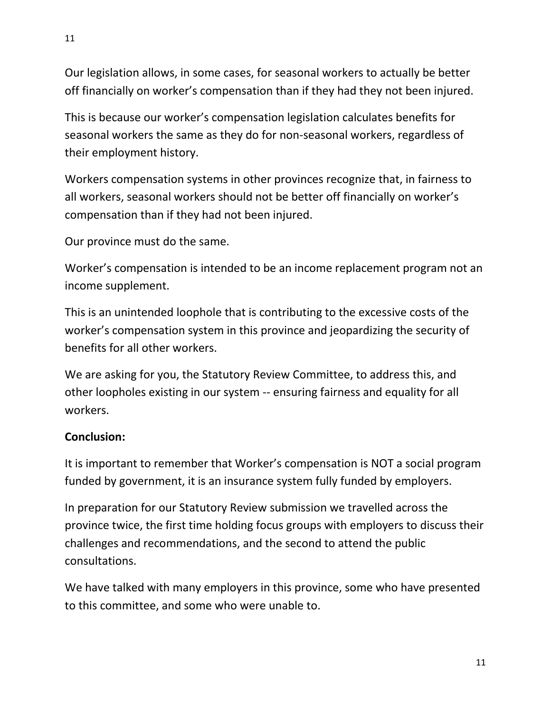Our legislation allows, in some cases, for seasonal workers to actually be better off financially on worker's compensation than if they had they not been injured.

This is because our worker's compensation legislation calculates benefits for seasonal workers the same as they do for non-seasonal workers, regardless of their employment history.

Workers compensation systems in other provinces recognize that, in fairness to all workers, seasonal workers should not be better off financially on worker's compensation than if they had not been injured.

Our province must do the same.

Worker's compensation is intended to be an income replacement program not an income supplement.

This is an unintended loophole that is contributing to the excessive costs of the worker's compensation system in this province and jeopardizing the security of benefits for all other workers.

We are asking for you, the Statutory Review Committee, to address this, and other loopholes existing in our system -- ensuring fairness and equality for all workers.

### **Conclusion:**

It is important to remember that Worker's compensation is NOT a social program funded by government, it is an insurance system fully funded by employers.

In preparation for our Statutory Review submission we travelled across the province twice, the first time holding focus groups with employers to discuss their challenges and recommendations, and the second to attend the public consultations.

We have talked with many employers in this province, some who have presented to this committee, and some who were unable to.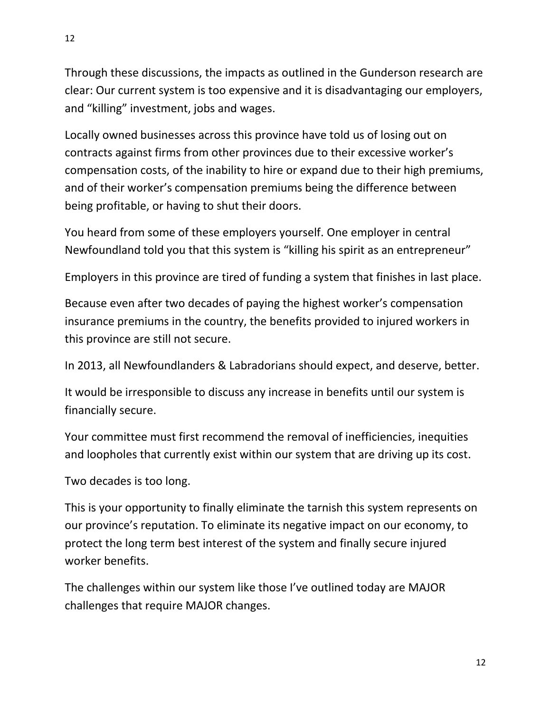Through these discussions, the impacts as outlined in the Gunderson research are clear: Our current system is too expensive and it is disadvantaging our employers, and "killing" investment, jobs and wages.

Locally owned businesses across this province have told us of losing out on contracts against firms from other provinces due to their excessive worker's compensation costs, of the inability to hire or expand due to their high premiums, and of their worker's compensation premiums being the difference between being profitable, or having to shut their doors.

You heard from some of these employers yourself. One employer in central Newfoundland told you that this system is "killing his spirit as an entrepreneur"

Employers in this province are tired of funding a system that finishes in last place.

Because even after two decades of paying the highest worker's compensation insurance premiums in the country, the benefits provided to injured workers in this province are still not secure.

In 2013, all Newfoundlanders & Labradorians should expect, and deserve, better.

It would be irresponsible to discuss any increase in benefits until our system is financially secure.

Your committee must first recommend the removal of inefficiencies, inequities and loopholes that currently exist within our system that are driving up its cost.

Two decades is too long.

This is your opportunity to finally eliminate the tarnish this system represents on our province's reputation. To eliminate its negative impact on our economy, to protect the long term best interest of the system and finally secure injured worker benefits.

The challenges within our system like those I've outlined today are MAJOR challenges that require MAJOR changes.